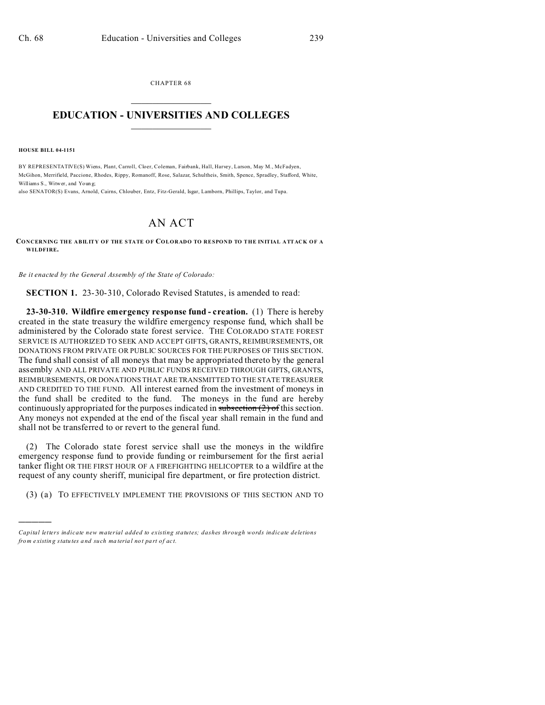CHAPTER 68  $\overline{\phantom{a}}$  , where  $\overline{\phantom{a}}$ 

## **EDUCATION - UNIVERSITIES AND COLLEGES**  $\frac{1}{2}$

**HOUSE BILL 04-1151**

)))))

BY REPRESENTATIVE(S) Wiens, Plant, Carroll, Cloer, Coleman, Fairbank, Hall, Harvey, Larson, May M., McFadyen, McGihon, Merrifield, Paccione, Rhodes, Rippy, Romanoff, Rose, Salazar, Schultheis, Smith, Spence, Spradley, Stafford, White, Williams S., Witwer, and Youn g;

also SENATOR(S) Evans, Arnold, Cairns, Chlouber, Entz, Fitz-Gerald, Isgar, Lamborn, Phillips, Taylor, and Tupa.

## AN ACT

**CONCERNING THE ABILITY OF THE STATE OF COLORADO TO RESPOND TO THE INITIAL ATTACK OF A WILDFIRE.**

*Be it enacted by the General Assembly of the State of Colorado:*

**SECTION 1.** 23-30-310, Colorado Revised Statutes, is amended to read:

**23-30-310. Wildfire emergency response fund - creation.** (1) There is hereby created in the state treasury the wildfire emergency response fund, which shall be administered by the Colorado state forest service. THE COLORADO STATE FOREST SERVICE IS AUTHORIZED TO SEEK AND ACCEPT GIFTS, GRANTS, REIMBURSEMENTS, OR DONATIONS FROM PRIVATE OR PUBLIC SOURCES FOR THE PURPOSES OF THIS SECTION. The fund shall consist of all moneys that may be appropriated thereto by the general assembly AND ALL PRIVATE AND PUBLIC FUNDS RECEIVED THROUGH GIFTS, GRANTS, REIMBURSEMENTS, OR DONATIONS THAT ARE TRANSMITTED TO THE STATE TREASURER AND CREDITED TO THE FUND. All interest earned from the investment of moneys in the fund shall be credited to the fund. The moneys in the fund are hereby continuously appropriated for the purposes indicated in subsection  $(2)$  of this section. Any moneys not expended at the end of the fiscal year shall remain in the fund and shall not be transferred to or revert to the general fund.

(2) The Colorado state forest service shall use the moneys in the wildfire emergency response fund to provide funding or reimbursement for the first aerial tanker flight OR THE FIRST HOUR OF A FIREFIGHTING HELICOPTER to a wildfire at the request of any county sheriff, municipal fire department, or fire protection district.

(3) (a) TO EFFECTIVELY IMPLEMENT THE PROVISIONS OF THIS SECTION AND TO

*Capital letters indicate new material added to existing statutes; dashes through words indicate deletions from e xistin g statu tes a nd such ma teria l no t pa rt of ac t.*